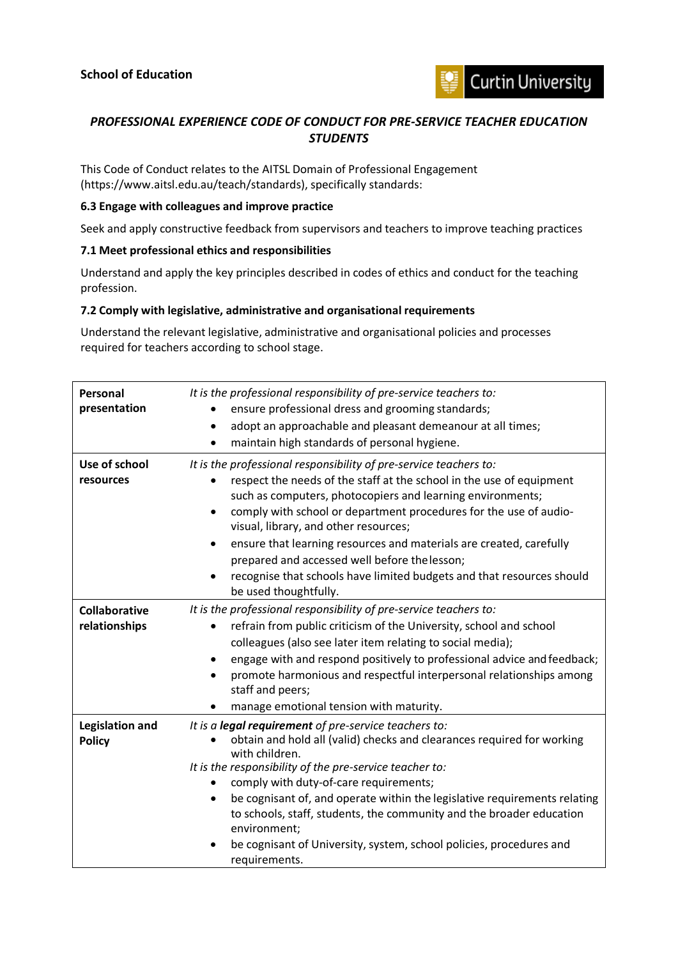

## *PROFESSIONAL EXPERIENCE CODE OF CONDUCT FOR PRE-SERVICE TEACHER EDUCATION STUDENTS*

This Code of Conduct relates to the AITSL Domain of Professional Engagement (https://www.aitsl.edu.au/teach/standards), specifically standards:

## **6.3 Engage with colleagues and improve practice**

Seek and apply constructive feedback from supervisors and teachers to improve teaching practices

## **7.1 Meet professional ethics and responsibilities**

Understand and apply the key principles described in codes of ethics and conduct for the teaching profession.

## **7.2 Comply with legislative, administrative and organisational requirements**

Understand the relevant legislative, administrative and organisational policies and processes required for teachers according to school stage.

| Personal<br>presentation                | It is the professional responsibility of pre-service teachers to:<br>ensure professional dress and grooming standards;<br>adopt an approachable and pleasant demeanour at all times;<br>٠<br>maintain high standards of personal hygiene.<br>$\bullet$                                                                                                                                                                                                                                                                                                            |
|-----------------------------------------|-------------------------------------------------------------------------------------------------------------------------------------------------------------------------------------------------------------------------------------------------------------------------------------------------------------------------------------------------------------------------------------------------------------------------------------------------------------------------------------------------------------------------------------------------------------------|
| Use of school<br>resources              | It is the professional responsibility of pre-service teachers to:<br>respect the needs of the staff at the school in the use of equipment<br>such as computers, photocopiers and learning environments;<br>comply with school or department procedures for the use of audio-<br>$\bullet$<br>visual, library, and other resources;<br>ensure that learning resources and materials are created, carefully<br>٠<br>prepared and accessed well before the lesson;<br>recognise that schools have limited budgets and that resources should<br>be used thoughtfully. |
| <b>Collaborative</b><br>relationships   | It is the professional responsibility of pre-service teachers to:<br>refrain from public criticism of the University, school and school<br>colleagues (also see later item relating to social media);<br>engage with and respond positively to professional advice and feedback;<br>promote harmonious and respectful interpersonal relationships among<br>staff and peers;<br>manage emotional tension with maturity.                                                                                                                                            |
| <b>Legislation and</b><br><b>Policy</b> | It is a legal requirement of pre-service teachers to:<br>obtain and hold all (valid) checks and clearances required for working<br>with children.<br>It is the responsibility of the pre-service teacher to:<br>comply with duty-of-care requirements;<br>be cognisant of, and operate within the legislative requirements relating<br>٠<br>to schools, staff, students, the community and the broader education<br>environment;<br>be cognisant of University, system, school policies, procedures and<br>requirements.                                          |